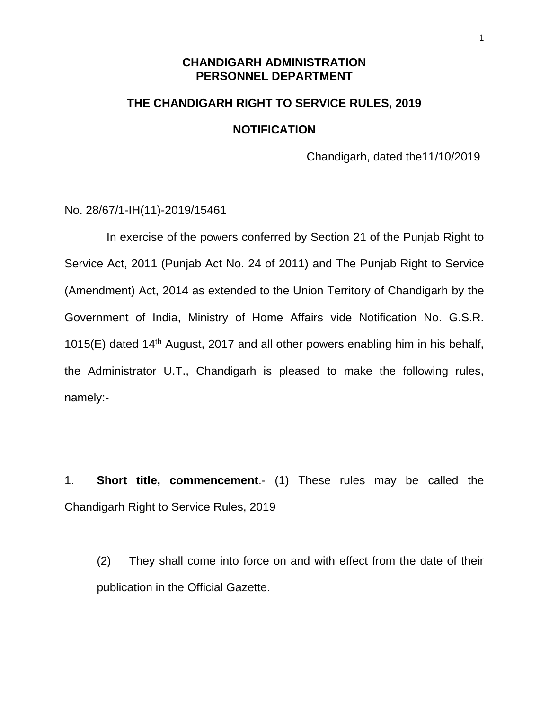### **CHANDIGARH ADMINISTRATION PERSONNEL DEPARTMENT**

# **THE CHANDIGARH RIGHT TO SERVICE RULES, 2019 NOTIFICATION**

Chandigarh, dated the11/10/2019

No. 28/67/1-IH(11)-2019/15461

 In exercise of the powers conferred by Section 21 of the Punjab Right to Service Act, 2011 (Punjab Act No. 24 of 2011) and The Punjab Right to Service (Amendment) Act, 2014 as extended to the Union Territory of Chandigarh by the Government of India, Ministry of Home Affairs vide Notification No. G.S.R. 1015(E) dated 14<sup>th</sup> August, 2017 and all other powers enabling him in his behalf, the Administrator U.T., Chandigarh is pleased to make the following rules, namely:-

1. **Short title, commencement**.- (1) These rules may be called the Chandigarh Right to Service Rules, 2019

(2) They shall come into force on and with effect from the date of their publication in the Official Gazette.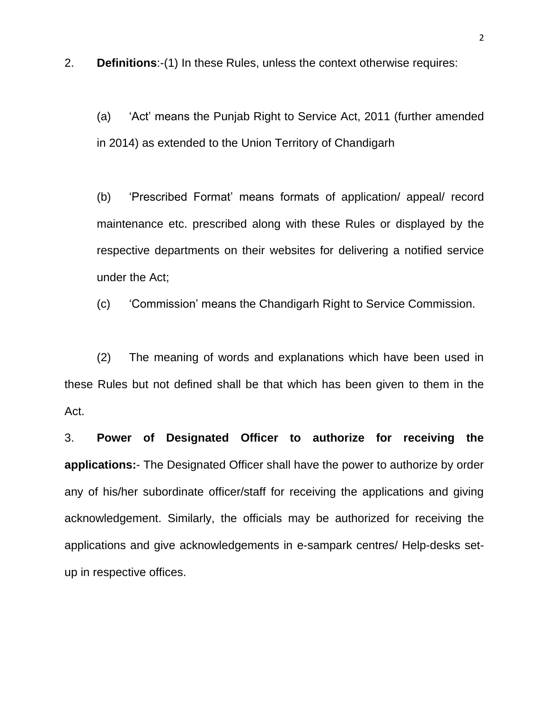2. **Definitions**:-(1) In these Rules, unless the context otherwise requires:

(a) 'Act' means the Punjab Right to Service Act, 2011 (further amended in 2014) as extended to the Union Territory of Chandigarh

(b) 'Prescribed Format' means formats of application/ appeal/ record maintenance etc. prescribed along with these Rules or displayed by the respective departments on their websites for delivering a notified service under the Act;

(c) 'Commission' means the Chandigarh Right to Service Commission.

(2) The meaning of words and explanations which have been used in these Rules but not defined shall be that which has been given to them in the Act.

3. **Power of Designated Officer to authorize for receiving the applications:**- The Designated Officer shall have the power to authorize by order any of his/her subordinate officer/staff for receiving the applications and giving acknowledgement. Similarly, the officials may be authorized for receiving the applications and give acknowledgements in e-sampark centres/ Help-desks setup in respective offices.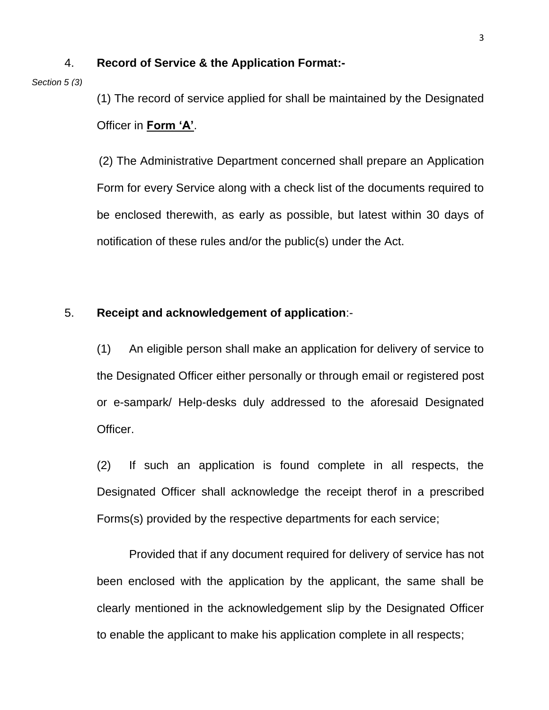### 4. **Record of Service & the Application Format:-**

#### *Section 5 (3)*

(1) The record of service applied for shall be maintained by the Designated Officer in **Form 'A'**.

(2) The Administrative Department concerned shall prepare an Application Form for every Service along with a check list of the documents required to be enclosed therewith, as early as possible, but latest within 30 days of notification of these rules and/or the public(s) under the Act.

### 5. **Receipt and acknowledgement of application**:-

(1) An eligible person shall make an application for delivery of service to the Designated Officer either personally or through email or registered post or e-sampark/ Help-desks duly addressed to the aforesaid Designated Officer.

(2) If such an application is found complete in all respects, the Designated Officer shall acknowledge the receipt therof in a prescribed Forms(s) provided by the respective departments for each service;

Provided that if any document required for delivery of service has not been enclosed with the application by the applicant, the same shall be clearly mentioned in the acknowledgement slip by the Designated Officer to enable the applicant to make his application complete in all respects;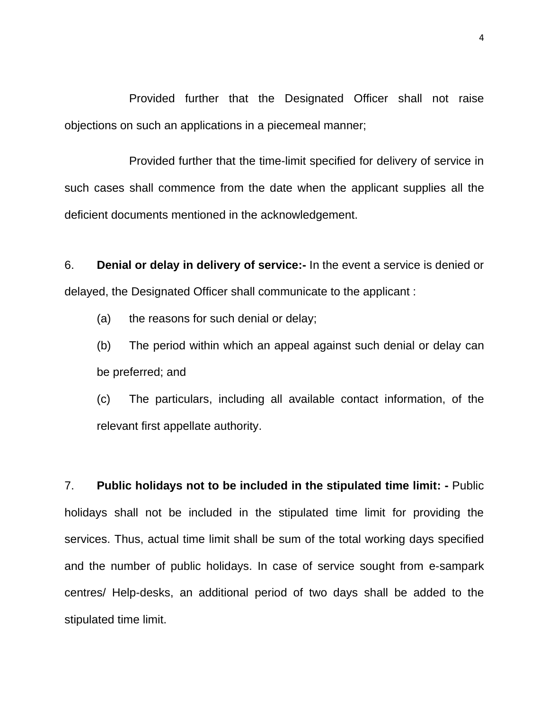Provided further that the Designated Officer shall not raise objections on such an applications in a piecemeal manner;

Provided further that the time-limit specified for delivery of service in such cases shall commence from the date when the applicant supplies all the deficient documents mentioned in the acknowledgement.

6. **Denial or delay in delivery of service:-** In the event a service is denied or delayed, the Designated Officer shall communicate to the applicant :

(a) the reasons for such denial or delay;

(b) The period within which an appeal against such denial or delay can be preferred; and

(c) The particulars, including all available contact information, of the relevant first appellate authority.

7. **Public holidays not to be included in the stipulated time limit: -** Public holidays shall not be included in the stipulated time limit for providing the services. Thus, actual time limit shall be sum of the total working days specified and the number of public holidays. In case of service sought from e-sampark centres/ Help-desks, an additional period of two days shall be added to the stipulated time limit.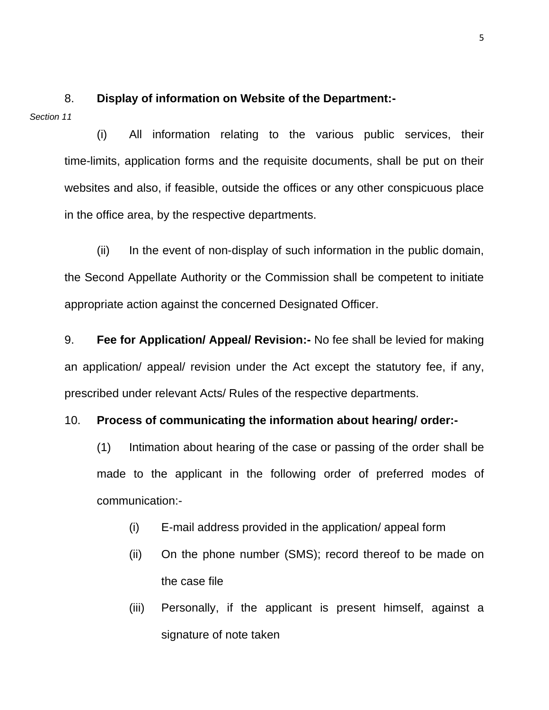*Section 11*

(i) All information relating to the various public services, their time-limits, application forms and the requisite documents, shall be put on their websites and also, if feasible, outside the offices or any other conspicuous place in the office area, by the respective departments.

8. **Display of information on Website of the Department:-**

(ii) In the event of non-display of such information in the public domain, the Second Appellate Authority or the Commission shall be competent to initiate appropriate action against the concerned Designated Officer.

9. **Fee for Application/ Appeal/ Revision:-** No fee shall be levied for making an application/ appeal/ revision under the Act except the statutory fee, if any, prescribed under relevant Acts/ Rules of the respective departments.

### 10. **Process of communicating the information about hearing/ order:-**

(1) Intimation about hearing of the case or passing of the order shall be made to the applicant in the following order of preferred modes of communication:-

- (i) E-mail address provided in the application/ appeal form
- (ii) On the phone number (SMS); record thereof to be made on the case file
- (iii) Personally, if the applicant is present himself, against a signature of note taken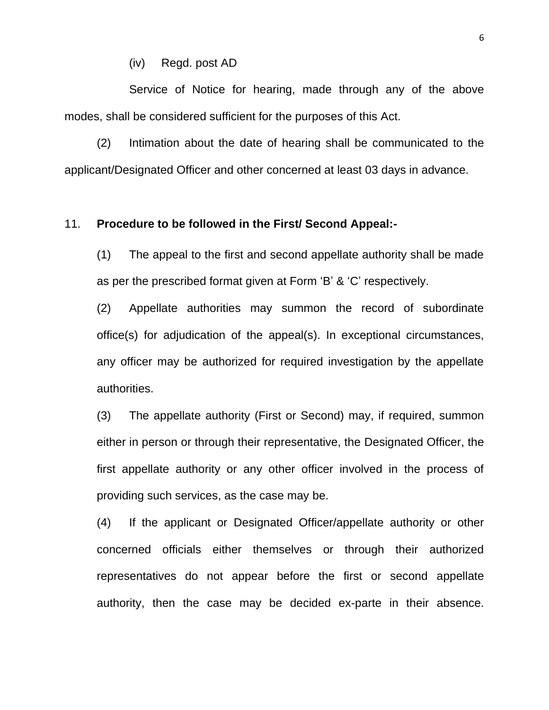(iv) Regd. post AD

Service of Notice for hearing, made through any of the above modes, shall be considered sufficient for the purposes of this Act.

(2) Intimation about the date of hearing shall be communicated to the applicant/Designated Officer and other concerned at least 03 days in advance.

### 11. **Procedure to be followed in the First/ Second Appeal:-**

(1) The appeal to the first and second appellate authority shall be made as per the prescribed format given at Form 'B' & 'C' respectively.

(2) Appellate authorities may summon the record of subordinate office(s) for adjudication of the appeal(s). In exceptional circumstances, any officer may be authorized for required investigation by the appellate authorities.

(3) The appellate authority (First or Second) may, if required, summon either in person or through their representative, the Designated Officer, the first appellate authority or any other officer involved in the process of providing such services, as the case may be.

(4) If the applicant or Designated Officer/appellate authority or other concerned officials either themselves or through their authorized representatives do not appear before the first or second appellate authority, then the case may be decided ex-parte in their absence.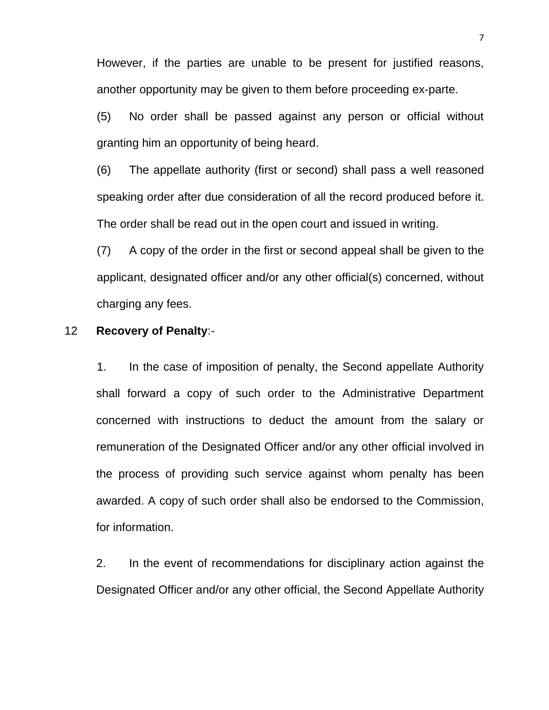However, if the parties are unable to be present for justified reasons, another opportunity may be given to them before proceeding ex-parte.

(5) No order shall be passed against any person or official without granting him an opportunity of being heard.

(6) The appellate authority (first or second) shall pass a well reasoned speaking order after due consideration of all the record produced before it. The order shall be read out in the open court and issued in writing.

(7) A copy of the order in the first or second appeal shall be given to the applicant, designated officer and/or any other official(s) concerned, without charging any fees.

### 12 **Recovery of Penalty**:-

1. In the case of imposition of penalty, the Second appellate Authority shall forward a copy of such order to the Administrative Department concerned with instructions to deduct the amount from the salary or remuneration of the Designated Officer and/or any other official involved in the process of providing such service against whom penalty has been awarded. A copy of such order shall also be endorsed to the Commission, for information.

 2. In the event of recommendations for disciplinary action against the Designated Officer and/or any other official, the Second Appellate Authority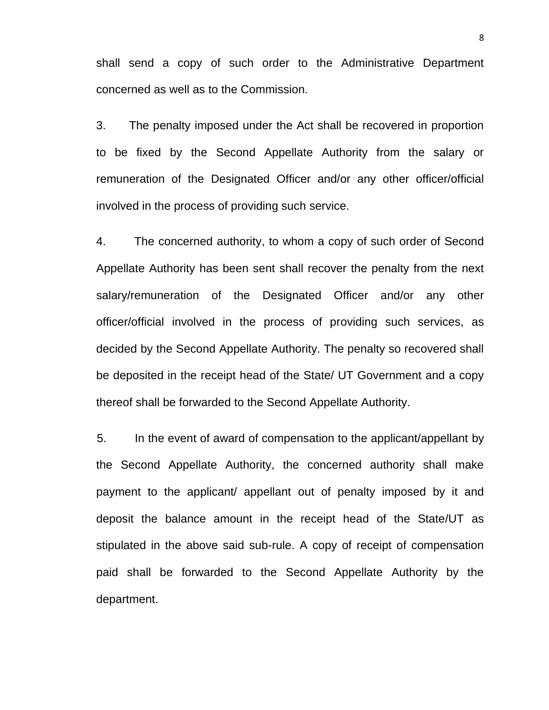shall send a copy of such order to the Administrative Department concerned as well as to the Commission.

3. The penalty imposed under the Act shall be recovered in proportion to be fixed by the Second Appellate Authority from the salary or remuneration of the Designated Officer and/or any other officer/official involved in the process of providing such service.

4. The concerned authority, to whom a copy of such order of Second Appellate Authority has been sent shall recover the penalty from the next salary/remuneration of the Designated Officer and/or any other officer/official involved in the process of providing such services, as decided by the Second Appellate Authority. The penalty so recovered shall be deposited in the receipt head of the State/ UT Government and a copy thereof shall be forwarded to the Second Appellate Authority.

5. In the event of award of compensation to the applicant/appellant by the Second Appellate Authority, the concerned authority shall make payment to the applicant/ appellant out of penalty imposed by it and deposit the balance amount in the receipt head of the State/UT as stipulated in the above said sub-rule. A copy of receipt of compensation paid shall be forwarded to the Second Appellate Authority by the department.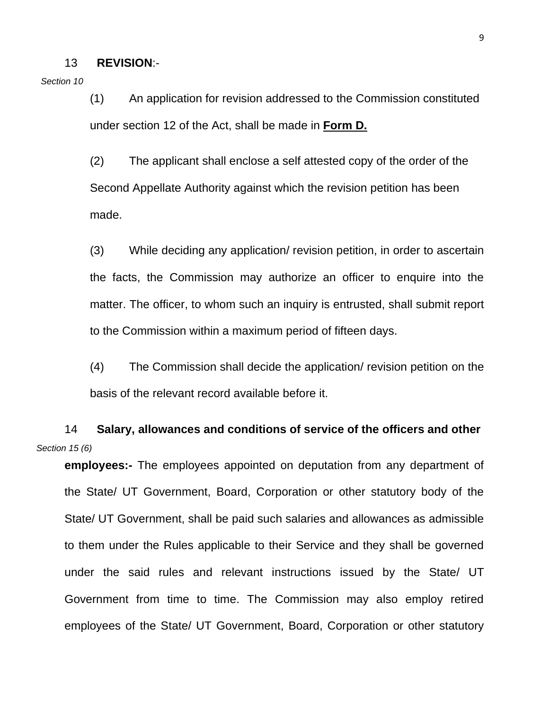#### 13 **REVISION**:-

*Section 10*

(1) An application for revision addressed to the Commission constituted under section 12 of the Act, shall be made in **Form D.**

(2) The applicant shall enclose a self attested copy of the order of the Second Appellate Authority against which the revision petition has been made.

(3) While deciding any application/ revision petition, in order to ascertain the facts, the Commission may authorize an officer to enquire into the matter. The officer, to whom such an inquiry is entrusted, shall submit report to the Commission within a maximum period of fifteen days.

(4) The Commission shall decide the application/ revision petition on the basis of the relevant record available before it.

14 **Salary, allowances and conditions of service of the officers and other**  *Section 15 (6)*

**employees:-** The employees appointed on deputation from any department of the State/ UT Government, Board, Corporation or other statutory body of the State/ UT Government, shall be paid such salaries and allowances as admissible to them under the Rules applicable to their Service and they shall be governed under the said rules and relevant instructions issued by the State/ UT Government from time to time. The Commission may also employ retired employees of the State/ UT Government, Board, Corporation or other statutory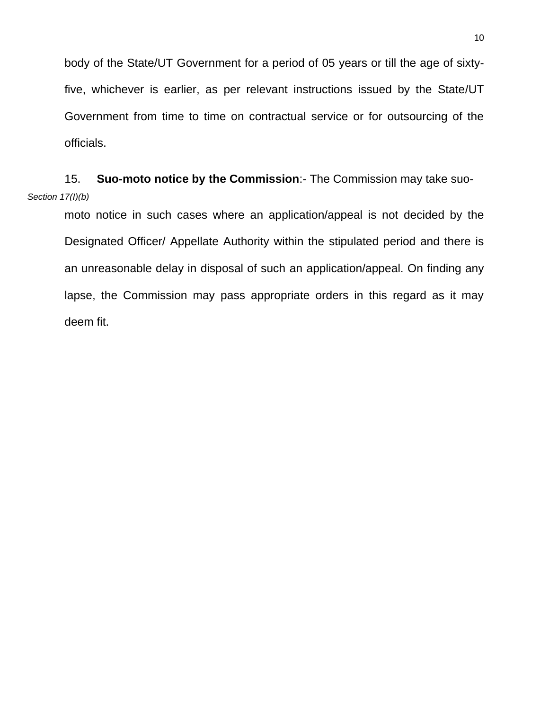body of the State/UT Government for a period of 05 years or till the age of sixtyfive, whichever is earlier, as per relevant instructions issued by the State/UT Government from time to time on contractual service or for outsourcing of the officials.

## 15. **Suo-moto notice by the Commission**:- The Commission may take suo-*Section 17(I)(b)*

moto notice in such cases where an application/appeal is not decided by the Designated Officer/ Appellate Authority within the stipulated period and there is an unreasonable delay in disposal of such an application/appeal. On finding any lapse, the Commission may pass appropriate orders in this regard as it may deem fit.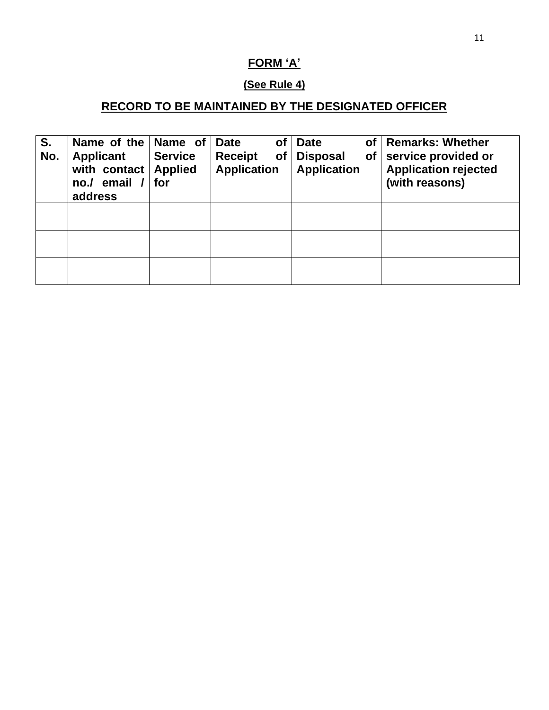# **FORM 'A'**

### **(See Rule 4)**

# **RECORD TO BE MAINTAINED BY THE DESIGNATED OFFICER**

| S.<br>No. | Name of the Name of<br><b>Applicant</b><br>with contact<br>email /<br>no.<br>address | <b>Service</b><br><b>Applied</b><br>for | of<br><b>Date</b><br><b>Receipt</b><br><b>of</b><br><b>Application</b> | <b>Date</b><br><b>Disposal</b><br>of<br><b>Application</b> | of   Remarks: Whether<br>service provided or<br><b>Application rejected</b><br>(with reasons) |
|-----------|--------------------------------------------------------------------------------------|-----------------------------------------|------------------------------------------------------------------------|------------------------------------------------------------|-----------------------------------------------------------------------------------------------|
|           |                                                                                      |                                         |                                                                        |                                                            |                                                                                               |
|           |                                                                                      |                                         |                                                                        |                                                            |                                                                                               |
|           |                                                                                      |                                         |                                                                        |                                                            |                                                                                               |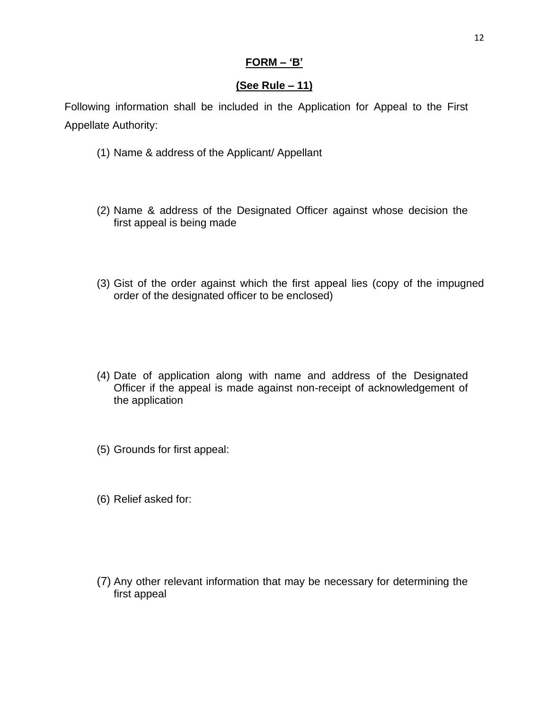### **FORM – 'B'**

### **(See Rule – 11)**

Following information shall be included in the Application for Appeal to the First Appellate Authority:

- (1) Name & address of the Applicant/ Appellant
- (2) Name & address of the Designated Officer against whose decision the first appeal is being made
- (3) Gist of the order against which the first appeal lies (copy of the impugned order of the designated officer to be enclosed)
- (4) Date of application along with name and address of the Designated Officer if the appeal is made against non-receipt of acknowledgement of the application
- (5) Grounds for first appeal:
- (6) Relief asked for:
- (7) Any other relevant information that may be necessary for determining the first appeal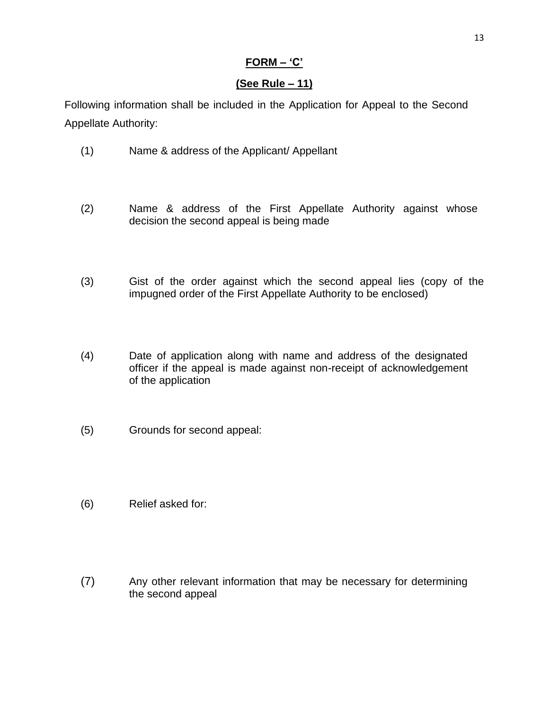### **FORM – 'C'**

### **(See Rule – 11)**

Following information shall be included in the Application for Appeal to the Second Appellate Authority:

- (1) Name & address of the Applicant/ Appellant
- (2) Name & address of the First Appellate Authority against whose decision the second appeal is being made
- (3) Gist of the order against which the second appeal lies (copy of the impugned order of the First Appellate Authority to be enclosed)
- (4) Date of application along with name and address of the designated officer if the appeal is made against non-receipt of acknowledgement of the application
- (5) Grounds for second appeal:
- (6) Relief asked for:
- (7) Any other relevant information that may be necessary for determining the second appeal